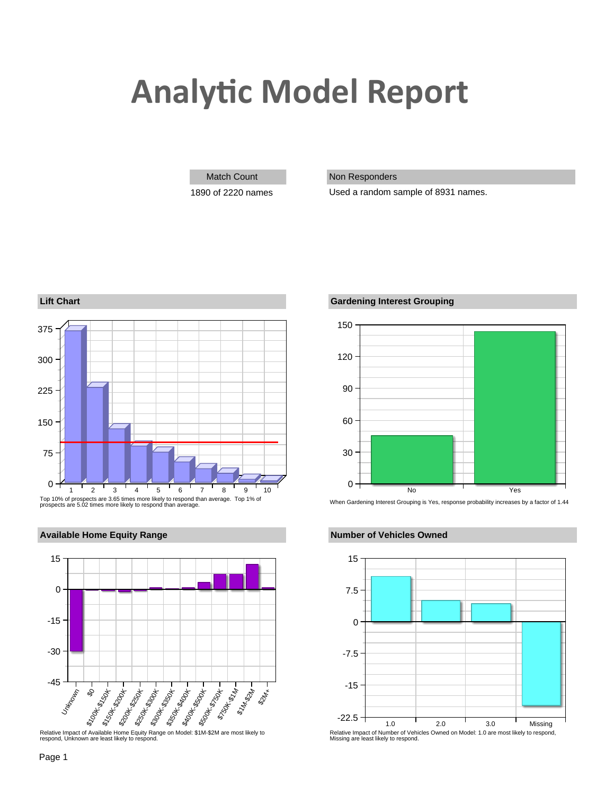# **Analytic Model Report**

### Match Count Non Responders

1890 of 2220 names Used a random sample of 8931 names.





## **Available Home Equity Range <b>Number of Vehicles Owned Available Home Equity Range**





Relative Impact of Number of Vehicles Owned on Model: 1.0 are most likely to respond, Missing are least likely to respond.

Relative Impact of Available Home Equity Range on Model: \$1M-\$2M are most likely to respond, Unknown are least likely to respond.